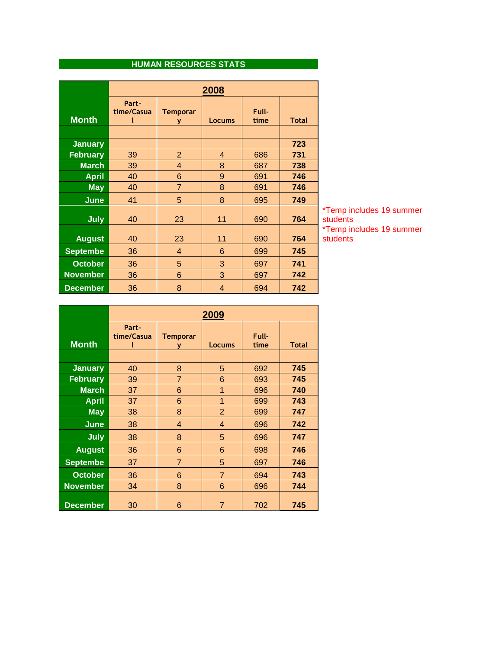## **HUMAN RESOURCES STATS**

|                 | 2008                |                      |                |               |              |
|-----------------|---------------------|----------------------|----------------|---------------|--------------|
| <b>Month</b>    | Part-<br>time/Casua | <b>Temporar</b><br>۷ | <b>Locums</b>  | Full-<br>time | <b>Total</b> |
|                 |                     |                      |                |               |              |
| <b>January</b>  |                     |                      |                |               | 723          |
| <b>February</b> | 39                  | $\overline{2}$       | $\overline{4}$ | 686           | 731          |
| <b>March</b>    | 39                  | $\overline{4}$       | 8              | 687           | 738          |
| <b>April</b>    | 40                  | 6                    | 9              | 691           | 746          |
| <b>May</b>      | 40                  | $\overline{7}$       | 8              | 691           | 746          |
| <b>June</b>     | 41                  | 5                    | 8              | 695           | 749          |
| <b>July</b>     | 40                  | 23                   | 11             | 690           | 764          |
| <b>August</b>   | 40                  | 23                   | 11             | 690           | 764          |
| <b>Septembe</b> | 36                  | 4                    | 6              | 699           | 745          |
| <b>October</b>  | 36                  | 5                    | 3              | 697           | 741          |
| <b>November</b> | 36                  | 6                    | 3              | 697           | 742          |
| <b>December</b> | 36                  | 8                    | $\overline{4}$ | 694           | 742          |

\*Temp includes 19 summer students \*Temp includes 19 summer students

|                 | 2009                |                      |                |               |              |
|-----------------|---------------------|----------------------|----------------|---------------|--------------|
| <b>Month</b>    | Part-<br>time/Casua | <b>Temporar</b><br>۷ | Locums         | Full-<br>time | <b>Total</b> |
|                 |                     |                      |                |               |              |
| <b>January</b>  | 40                  | 8                    | 5              | 692           | 745          |
| <b>February</b> | 39                  | $\overline{7}$       | 6              | 693           | 745          |
| <b>March</b>    | 37                  | 6                    | 1              | 696           | 740          |
| <b>April</b>    | 37                  | 6                    | 1              | 699           | 743          |
| <b>May</b>      | 38                  | 8                    | $\overline{2}$ | 699           | 747          |
| June            | 38                  | 4                    | 4              | 696           | 742          |
| <b>July</b>     | 38                  | 8                    | 5              | 696           | 747          |
| <b>August</b>   | 36                  | 6                    | 6              | 698           | 746          |
| <b>Septembe</b> | 37                  | $\overline{7}$       | 5              | 697           | 746          |
| <b>October</b>  | 36                  | 6                    | $\overline{7}$ | 694           | 743          |
| <b>November</b> | 34                  | 8                    | 6              | 696           | 744          |
| <b>December</b> | 30                  | 6                    | $\overline{7}$ | 702           | 745          |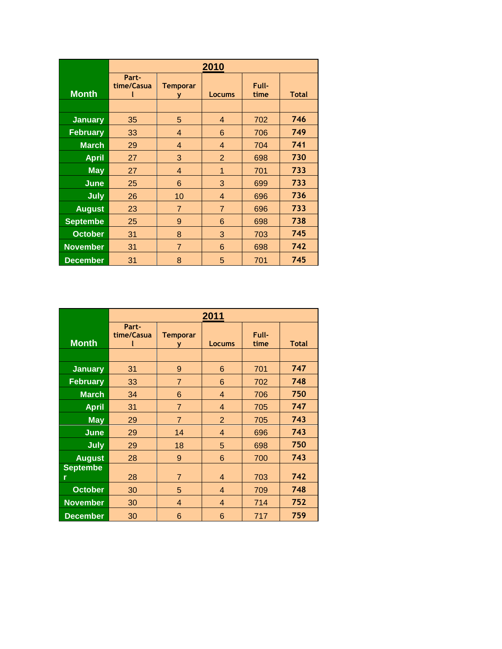|                 | 2010                |                      |                |               |              |
|-----------------|---------------------|----------------------|----------------|---------------|--------------|
| <b>Month</b>    | Part-<br>time/Casua | <b>Temporar</b><br>۷ | <b>Locums</b>  | Full-<br>time | <b>Total</b> |
|                 |                     |                      |                |               |              |
| <b>January</b>  | 35                  | 5                    | 4              | 702           | 746          |
| <b>February</b> | 33                  | $\overline{4}$       | 6              | 706           | 749          |
| <b>March</b>    | 29                  | $\overline{4}$       | 4              | 704           | 741          |
| <b>April</b>    | 27                  | 3                    | $\overline{2}$ | 698           | 730          |
| <b>May</b>      | 27                  | 4                    | 1              | 701           | 733          |
| <b>June</b>     | 25                  | 6                    | 3              | 699           | 733          |
| <b>July</b>     | 26                  | 10                   | 4              | 696           | 736          |
| <b>August</b>   | 23                  | $\overline{7}$       | $\overline{7}$ | 696           | 733          |
| <b>Septembe</b> | 25                  | 9                    | 6              | 698           | 738          |
| <b>October</b>  | 31                  | 8                    | 3              | 703           | 745          |
| <b>November</b> | 31                  | $\overline{7}$       | 6              | 698           | 742          |
| <b>December</b> | 31                  | 8                    | 5              | 701           | 745          |

|                      | 2011                |                      |                |               |              |
|----------------------|---------------------|----------------------|----------------|---------------|--------------|
| <b>Month</b>         | Part-<br>time/Casua | <b>Temporar</b><br>۷ | <b>Locums</b>  | Full-<br>time | <b>Total</b> |
| <b>January</b>       | 31                  | 9                    | 6              | 701           | 747          |
| <b>February</b>      | 33                  | $\overline{7}$       | 6              | 702           | 748          |
| <b>March</b>         | 34                  | 6                    | $\overline{4}$ | 706           | 750          |
| <b>April</b>         | 31                  | $\overline{7}$       | $\overline{4}$ | 705           | 747          |
| <b>May</b>           | 29                  | $\overline{7}$       | $\overline{2}$ | 705           | 743          |
| June                 | 29                  | 14                   | 4              | 696           | 743          |
| July                 | 29                  | 18                   | 5              | 698           | 750          |
| <b>August</b>        | 28                  | 9                    | 6              | 700           | 743          |
| <b>Septembe</b><br>r | 28                  | $\overline{7}$       | $\overline{4}$ | 703           | 742          |
| <b>October</b>       | 30                  | 5                    | 4              | 709           | 748          |
| <b>November</b>      | 30                  | $\overline{4}$       | $\overline{4}$ | 714           | 752          |
| <b>December</b>      | 30                  | 6                    | 6              | 717           | 759          |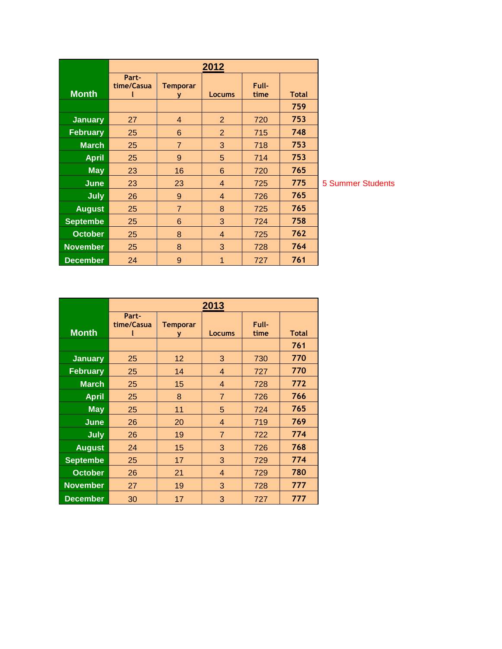|                 | 2012                |                      |                |               |              |
|-----------------|---------------------|----------------------|----------------|---------------|--------------|
| <b>Month</b>    | Part-<br>time/Casua | <b>Temporar</b><br>У | <b>Locums</b>  | Full-<br>time | <b>Total</b> |
|                 |                     |                      |                |               | 759          |
| <b>January</b>  | 27                  | 4                    | $\overline{2}$ | 720           | 753          |
| <b>February</b> | 25                  | 6                    | $\overline{2}$ | 715           | 748          |
| <b>March</b>    | 25                  | $\overline{7}$       | 3              | 718           | 753          |
| <b>April</b>    | 25                  | 9                    | 5              | 714           | 753          |
| <b>May</b>      | 23                  | 16                   | 6              | 720           | 765          |
| <b>June</b>     | 23                  | 23                   | $\overline{4}$ | 725           | 775          |
| <b>July</b>     | 26                  | 9                    | $\overline{4}$ | 726           | 765          |
| <b>August</b>   | 25                  | $\overline{7}$       | 8              | 725           | 765          |
| <b>Septembe</b> | 25                  | 6                    | 3              | 724           | 758          |
| <b>October</b>  | 25                  | 8                    | 4              | 725           | 762          |
| <b>November</b> | 25                  | 8                    | 3              | 728           | 764          |
| <b>December</b> | 24                  | 9                    | 1              | 727           | 761          |

**5 Summer Students** 

|                 | 2013                |               |                |               |              |
|-----------------|---------------------|---------------|----------------|---------------|--------------|
| <b>Month</b>    | Part-<br>time/Casua | Temporar<br>У | <b>Locums</b>  | Full-<br>time | <b>Total</b> |
|                 |                     |               |                |               | 761          |
| <b>January</b>  | 25                  | 12            | 3              | 730           | 770          |
| <b>February</b> | 25                  | 14            | $\overline{4}$ | 727           | 770          |
| <b>March</b>    | 25                  | 15            | $\overline{4}$ | 728           | 772          |
| <b>April</b>    | 25                  | 8             | $\overline{7}$ | 726           | 766          |
| <b>May</b>      | 25                  | 11            | 5              | 724           | 765          |
| June            | 26                  | 20            | $\overline{4}$ | 719           | 769          |
| <b>July</b>     | 26                  | 19            | $\overline{7}$ | 722           | 774          |
| <b>August</b>   | 24                  | 15            | 3              | 726           | 768          |
| <b>Septembe</b> | 25                  | 17            | 3              | 729           | 774          |
| <b>October</b>  | 26                  | 21            | $\overline{4}$ | 729           | 780          |
| <b>November</b> | 27                  | 19            | 3              | 728           | 777          |
| <b>December</b> | 30                  | 17            | 3              | 727           | 777          |